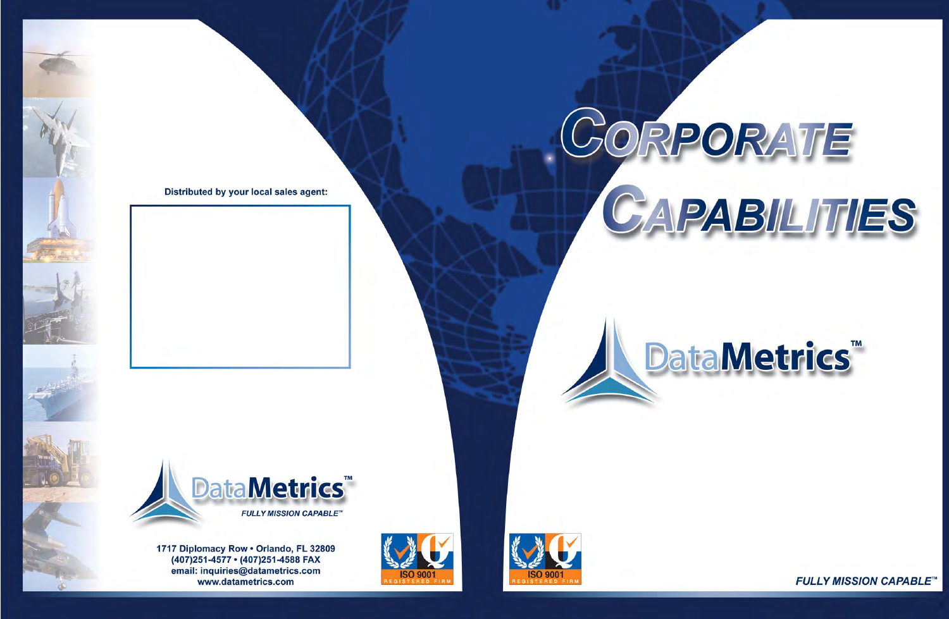# CORPORATE CAPABILITIES

# **DataMetrics™**



**FULLY MISSION CAPABLE™**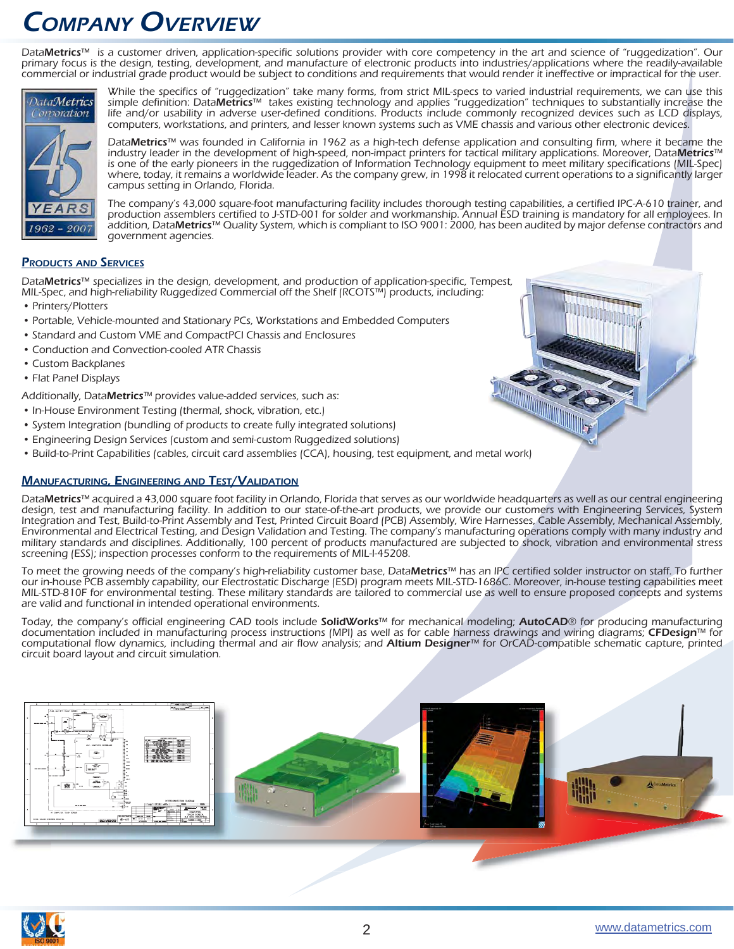## COMPANY OVERVIEW

DataMetrics™ is a customer driven, application-specific solutions provider with core competency in the art and science of "ruggedization". Our primary focus is the design, testing, development, and manufacture of electronic products into industries/applications where the readily-available commercial or industrial grade product would be subject to conditions and requirements that would render it ineffective or impractical for the user.



While the specifics of "ruggedization" take many forms, from strict MIL-specs to varied industrial requirements, we can use this simple definition: DataMetrics™ takes existing technology and applies "ruggedization" techniques to substantially increase the life and/or usability in adverse user-defined conditions. Products include commonly recognized devices such as LCD displays, computers, workstations, and printers, and lesser known systems such as VME chassis and various other electronic devices.

DataMetrics™ was founded in California in 1962 as a high-tech defense application and consulting firm, where it became the industry leader in the development of high-speed, non-impact printers for tactical military applications. Moreover, DataMetrics™ is one of the early pioneers in the ruggedization of Information Technology equipment to meet military specifications (MIL-Spec) where, today, it remains a worldwide leader. As the company grew, in 1998 it relocated current operations to a significantly larger campus setting in Orlando, Florida.

The company's 43,000 square-foot manufacturing facility includes thorough testing capabilities, a certified IPC-A-610 trainer, and production assemblers certified to J-STD-001 for solder and workmanship. Annual ESD training is mandatory for all employees. In addition, Data**Metrics**™ Quality System, which is compliant to ISO 9001: 2000, has been audited by major defense contractors and government agencies.

#### **PRODUCTS AND SERVICES**

DataMetrics™ specializes in the design, development, and production of application-specific, Tempest, MIL-Spec, and high-reliability Ruggedized Commercial off the Shelf (RCOTS™) products, including:

- Printers/Plotters
- Portable, Vehicle-mounted and Stationary PCs, Workstations and Embedded Computers
- Standard and Custom VME and CompactPCI Chassis and Enclosures
- Conduction and Convection-cooled ATR Chassis •
- Custom Backplanes
- Flat Panel Displays

Additionally, DataMetrics™ provides value-added services, such as:

- In-House Environment Testing (thermal, shock, vibration, etc.)
- System Integration (bundling of products to create fully integrated solutions)
- Engineering Design Services (custom and semi-custom Ruggedized solutions) •
- Build-to-Print Capabilities (cables, circuit card assemblies (CCA), housing, test equipment, and metal work)

#### **MANUFACTURING, ENGINEERING AND TEST/VALIDATION**

DataMetrics™ acquired a 43,000 square foot facility in Orlando, Florida that serves as our worldwide headquarters as well as our central engineering design, test and manufacturing facility. In addition to our state-of-the-art products, we provide our customers with Engineering Services, System Integration and Test, Build-to-Print Assembly and Test, Printed Circuit Board (PCB) Assembly, Wire Harnesses, Cable Assembly, Mechanical Assembly, Environmental and Electrical Testing, and Design Validation and Testing. The company's manufacturing operations comply with many industry and military standards and disciplines. Additionally, 100 percent of products manufactured are subjected to shock, vibration and environmental stress screening (ESS); inspection processes conform to the requirements of MIL-I-45208.

To meet the growing needs of the company's high-reliability customer base, DataMetrics™ has an IPC certified solder instructor on staff. To further our in-house PCB assembly capability, our Electrostatic Discharge (ESD) program meets MIL-STD-1686C. Moreover, in-house testing capabilities meet MIL-STD-810F for environmental testing. These military standards are tailored to commercial use as well to ensure proposed concepts and systems are valid and functional in intended operational environments.

Today, the company's official engineering CAD tools include SolidWorks™ for mechanical modeling; AutoCAD® for producing manufacturing documentation included in manufacturing process instructions (MPI) as well as for cable harness drawings and wiring diagrams; CFDesign™ for computational flow dynamics, including thermal and air flow analysis; and Altium Designer™ for OrCAD-compatible schematic capture, printed circuit board layout and circuit simulation.